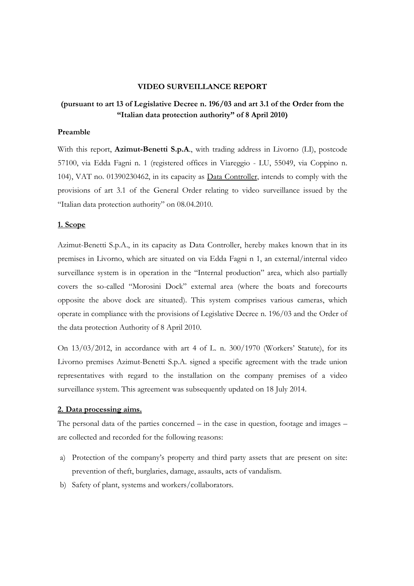## **VIDEO SURVEILLANCE REPORT**

## **(pursuant to art 13 of Legislative Decree n. 196/03 and art 3.1 of the Order from the "Italian data protection authority" of 8 April 2010)**

#### **Preamble**

With this report, **Azimut-Benetti S.p.A**., with trading address in Livorno (LI), postcode 57100, via Edda Fagni n. 1 (registered offices in Viareggio - LU, 55049, via Coppino n. 104), VAT no. 01390230462, in its capacity as Data Controller, intends to comply with the provisions of art 3.1 of the General Order relating to video surveillance issued by the "Italian data protection authority" on 08.04.2010.

## **1. Scope**

Azimut-Benetti S.p.A., in its capacity as Data Controller, hereby makes known that in its premises in Livorno, which are situated on via Edda Fagni n 1, an external/internal video surveillance system is in operation in the "Internal production" area, which also partially covers the so-called "Morosini Dock" external area (where the boats and forecourts opposite the above dock are situated). This system comprises various cameras, which operate in compliance with the provisions of Legislative Decree n. 196/03 and the Order of the data protection Authority of 8 April 2010.

On 13/03/2012, in accordance with art 4 of L. n. 300/1970 (Workers' Statute), for its Livorno premises Azimut-Benetti S.p.A. signed a specific agreement with the trade union representatives with regard to the installation on the company premises of a video surveillance system. This agreement was subsequently updated on 18 July 2014.

## **2. Data processing aims.**

The personal data of the parties concerned – in the case in question, footage and images – are collected and recorded for the following reasons:

- a) Protection of the company's property and third party assets that are present on site: prevention of theft, burglaries, damage, assaults, acts of vandalism.
- b) Safety of plant, systems and workers/collaborators.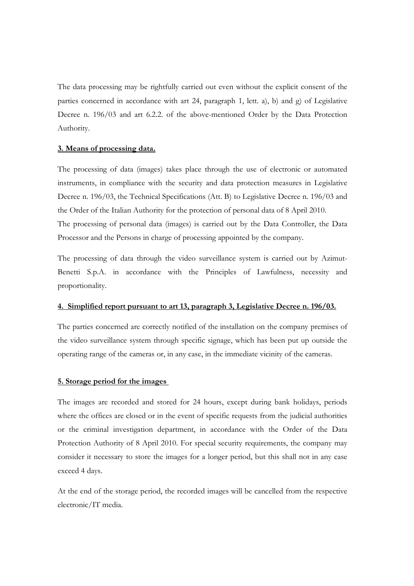The data processing may be rightfully carried out even without the explicit consent of the parties concerned in accordance with art 24, paragraph 1, lett. a), b) and g) of Legislative Decree n. 196/03 and art 6.2.2. of the above-mentioned Order by the Data Protection Authority.

## **3. Means of processing data.**

The processing of data (images) takes place through the use of electronic or automated instruments, in compliance with the security and data protection measures in Legislative Decree n. 196/03, the Technical Specifications (Att. B) to Legislative Decree n. 196/03 and the Order of the Italian Authority for the protection of personal data of 8 April 2010. The processing of personal data (images) is carried out by the Data Controller, the Data Processor and the Persons in charge of processing appointed by the company.

The processing of data through the video surveillance system is carried out by Azimut-Benetti S.p.A. in accordance with the Principles of Lawfulness, necessity and proportionality.

#### **4. Simplified report pursuant to art 13, paragraph 3, Legislative Decree n. 196/03.**

The parties concerned are correctly notified of the installation on the company premises of the video surveillance system through specific signage, which has been put up outside the operating range of the cameras or, in any case, in the immediate vicinity of the cameras.

#### **5. Storage period for the images**

The images are recorded and stored for 24 hours, except during bank holidays, periods where the offices are closed or in the event of specific requests from the judicial authorities or the criminal investigation department, in accordance with the Order of the Data Protection Authority of 8 April 2010. For special security requirements, the company may consider it necessary to store the images for a longer period, but this shall not in any case exceed 4 days.

At the end of the storage period, the recorded images will be cancelled from the respective electronic/IT media.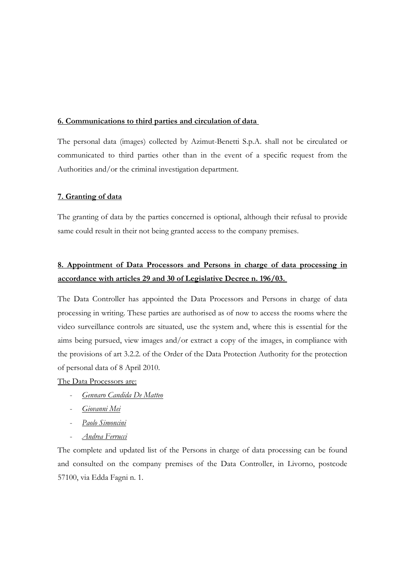#### **6. Communications to third parties and circulation of data**

The personal data (images) collected by Azimut-Benetti S.p.A. shall not be circulated or communicated to third parties other than in the event of a specific request from the Authorities and/or the criminal investigation department.

#### **7. Granting of data**

The granting of data by the parties concerned is optional, although their refusal to provide same could result in their not being granted access to the company premises.

# **8. Appointment of Data Processors and Persons in charge of data processing in accordance with articles 29 and 30 of Legislative Decree n. 196/03.**

The Data Controller has appointed the Data Processors and Persons in charge of data processing in writing. These parties are authorised as of now to access the rooms where the video surveillance controls are situated, use the system and, where this is essential for the aims being pursued, view images and/or extract a copy of the images, in compliance with the provisions of art 3.2.2. of the Order of the Data Protection Authority for the protection of personal data of 8 April 2010.

The Data Processors are:

- *Gennaro Candida De Matteo*
- *Giovanni Mei*
- *Paolo Simoncini*
- *Andrea Ferrucci*

The complete and updated list of the Persons in charge of data processing can be found and consulted on the company premises of the Data Controller, in Livorno, postcode 57100, via Edda Fagni n. 1.